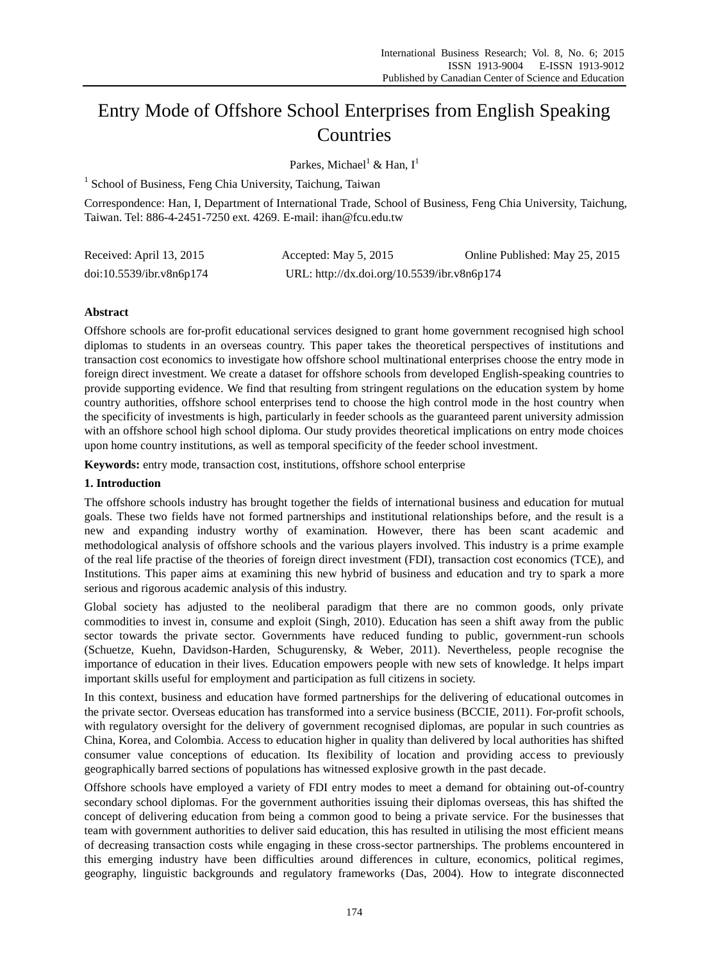# Entry Mode of Offshore School Enterprises from English Speaking Countries

Parkes, Michael<sup>1</sup> & Han,  $I^1$ 

<sup>1</sup> School of Business, Feng Chia University, Taichung, Taiwan

Correspondence: Han, I, Department of International Trade, School of Business, Feng Chia University, Taichung, Taiwan. Tel: 886-4-2451-7250 ext. 4269. E-mail: ihan@fcu.edu.tw

| Received: April 13, 2015 | Accepted: May 5, 2015                       | Online Published: May 25, 2015 |
|--------------------------|---------------------------------------------|--------------------------------|
| doi:10.5539/ibr.v8n6p174 | URL: http://dx.doi.org/10.5539/ibr.v8n6p174 |                                |

# **Abstract**

Offshore schools are for-profit educational services designed to grant home government recognised high school diplomas to students in an overseas country. This paper takes the theoretical perspectives of institutions and transaction cost economics to investigate how offshore school multinational enterprises choose the entry mode in foreign direct investment. We create a dataset for offshore schools from developed English-speaking countries to provide supporting evidence. We find that resulting from stringent regulations on the education system by home country authorities, offshore school enterprises tend to choose the high control mode in the host country when the specificity of investments is high, particularly in feeder schools as the guaranteed parent university admission with an offshore school high school diploma. Our study provides theoretical implications on entry mode choices upon home country institutions, as well as temporal specificity of the feeder school investment.

**Keywords:** entry mode, transaction cost, institutions, offshore school enterprise

# **1. Introduction**

The offshore schools industry has brought together the fields of international business and education for mutual goals. These two fields have not formed partnerships and institutional relationships before, and the result is a new and expanding industry worthy of examination. However, there has been scant academic and methodological analysis of offshore schools and the various players involved. This industry is a prime example of the real life practise of the theories of foreign direct investment (FDI), transaction cost economics (TCE), and Institutions. This paper aims at examining this new hybrid of business and education and try to spark a more serious and rigorous academic analysis of this industry.

Global society has adjusted to the neoliberal paradigm that there are no common goods, only private commodities to invest in, consume and exploit (Singh, 2010). Education has seen a shift away from the public sector towards the private sector. Governments have reduced funding to public, government-run schools (Schuetze, Kuehn, Davidson-Harden, Schugurensky, & Weber, 2011). Nevertheless, people recognise the importance of education in their lives. Education empowers people with new sets of knowledge. It helps impart important skills useful for employment and participation as full citizens in society.

In this context, business and education have formed partnerships for the delivering of educational outcomes in the private sector. Overseas education has transformed into a service business (BCCIE, 2011). For-profit schools, with regulatory oversight for the delivery of government recognised diplomas, are popular in such countries as China, Korea, and Colombia. Access to education higher in quality than delivered by local authorities has shifted consumer value conceptions of education. Its flexibility of location and providing access to previously geographically barred sections of populations has witnessed explosive growth in the past decade.

Offshore schools have employed a variety of FDI entry modes to meet a demand for obtaining out-of-country secondary school diplomas. For the government authorities issuing their diplomas overseas, this has shifted the concept of delivering education from being a common good to being a private service. For the businesses that team with government authorities to deliver said education, this has resulted in utilising the most efficient means of decreasing transaction costs while engaging in these cross-sector partnerships. The problems encountered in this emerging industry have been difficulties around differences in culture, economics, political regimes, geography, linguistic backgrounds and regulatory frameworks (Das, 2004). How to integrate disconnected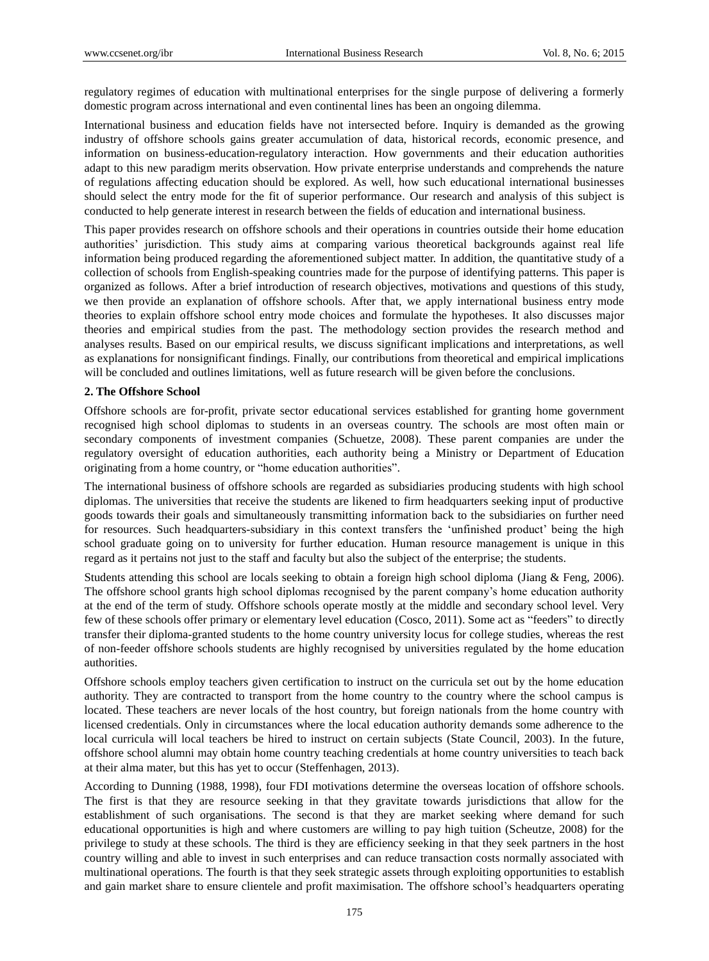regulatory regimes of education with multinational enterprises for the single purpose of delivering a formerly domestic program across international and even continental lines has been an ongoing dilemma.

International business and education fields have not intersected before. Inquiry is demanded as the growing industry of offshore schools gains greater accumulation of data, historical records, economic presence, and information on business-education-regulatory interaction. How governments and their education authorities adapt to this new paradigm merits observation. How private enterprise understands and comprehends the nature of regulations affecting education should be explored. As well, how such educational international businesses should select the entry mode for the fit of superior performance. Our research and analysis of this subject is conducted to help generate interest in research between the fields of education and international business.

This paper provides research on offshore schools and their operations in countries outside their home education authorities" jurisdiction. This study aims at comparing various theoretical backgrounds against real life information being produced regarding the aforementioned subject matter. In addition, the quantitative study of a collection of schools from English-speaking countries made for the purpose of identifying patterns. This paper is organized as follows. After a brief introduction of research objectives, motivations and questions of this study, we then provide an explanation of offshore schools. After that, we apply international business entry mode theories to explain offshore school entry mode choices and formulate the hypotheses. It also discusses major theories and empirical studies from the past. The methodology section provides the research method and analyses results. Based on our empirical results, we discuss significant implications and interpretations, as well as explanations for nonsignificant findings. Finally, our contributions from theoretical and empirical implications will be concluded and outlines limitations, well as future research will be given before the conclusions.

# **2. The Offshore School**

Offshore schools are for-profit, private sector educational services established for granting home government recognised high school diplomas to students in an overseas country. The schools are most often main or secondary components of investment companies (Schuetze, 2008). These parent companies are under the regulatory oversight of education authorities, each authority being a Ministry or Department of Education originating from a home country, or "home education authorities".

The international business of offshore schools are regarded as subsidiaries producing students with high school diplomas. The universities that receive the students are likened to firm headquarters seeking input of productive goods towards their goals and simultaneously transmitting information back to the subsidiaries on further need for resources. Such headquarters-subsidiary in this context transfers the "unfinished product" being the high school graduate going on to university for further education. Human resource management is unique in this regard as it pertains not just to the staff and faculty but also the subject of the enterprise; the students.

Students attending this school are locals seeking to obtain a foreign high school diploma (Jiang & Feng, 2006). The offshore school grants high school diplomas recognised by the parent company"s home education authority at the end of the term of study. Offshore schools operate mostly at the middle and secondary school level. Very few of these schools offer primary or elementary level education (Cosco, 2011). Some act as "feeders" to directly transfer their diploma-granted students to the home country university locus for college studies, whereas the rest of non-feeder offshore schools students are highly recognised by universities regulated by the home education authorities.

Offshore schools employ teachers given certification to instruct on the curricula set out by the home education authority. They are contracted to transport from the home country to the country where the school campus is located. These teachers are never locals of the host country, but foreign nationals from the home country with licensed credentials. Only in circumstances where the local education authority demands some adherence to the local curricula will local teachers be hired to instruct on certain subjects (State Council, 2003). In the future, offshore school alumni may obtain home country teaching credentials at home country universities to teach back at their alma mater, but this has yet to occur (Steffenhagen, 2013).

According to Dunning (1988, 1998), four FDI motivations determine the overseas location of offshore schools. The first is that they are resource seeking in that they gravitate towards jurisdictions that allow for the establishment of such organisations. The second is that they are market seeking where demand for such educational opportunities is high and where customers are willing to pay high tuition (Scheutze, 2008) for the privilege to study at these schools. The third is they are efficiency seeking in that they seek partners in the host country willing and able to invest in such enterprises and can reduce transaction costs normally associated with multinational operations. The fourth is that they seek strategic assets through exploiting opportunities to establish and gain market share to ensure clientele and profit maximisation. The offshore school"s headquarters operating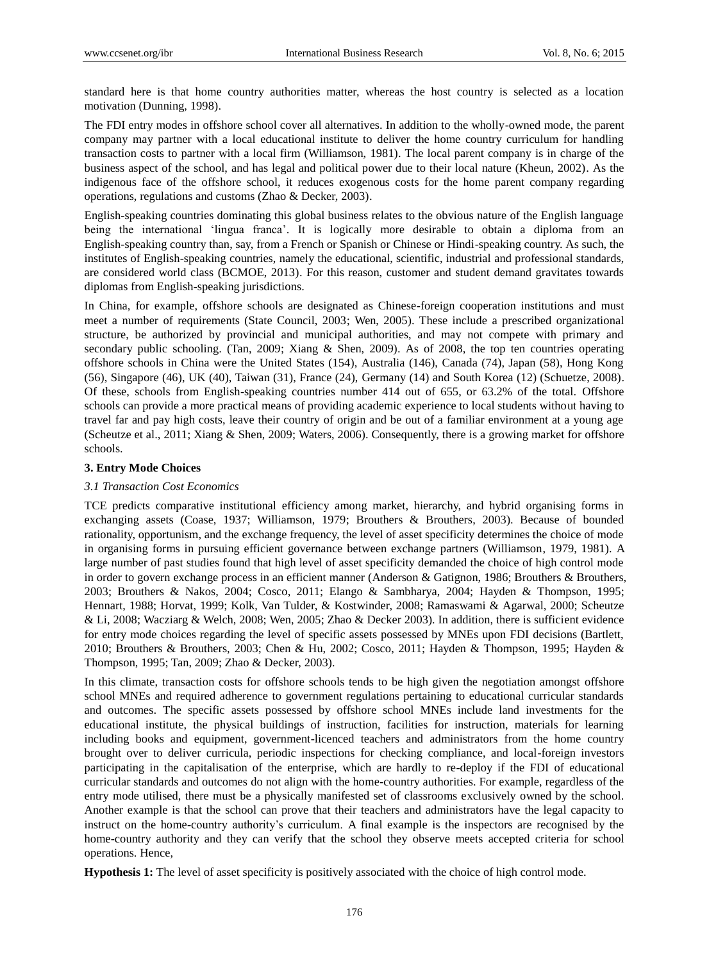standard here is that home country authorities matter, whereas the host country is selected as a location motivation (Dunning, 1998).

The FDI entry modes in offshore school cover all alternatives. In addition to the wholly-owned mode, the parent company may partner with a local educational institute to deliver the home country curriculum for handling transaction costs to partner with a local firm (Williamson, 1981). The local parent company is in charge of the business aspect of the school, and has legal and political power due to their local nature (Kheun, 2002). As the indigenous face of the offshore school, it reduces exogenous costs for the home parent company regarding operations, regulations and customs (Zhao & Decker, 2003).

English-speaking countries dominating this global business relates to the obvious nature of the English language being the international 'lingua franca'. It is logically more desirable to obtain a diploma from an English-speaking country than, say, from a French or Spanish or Chinese or Hindi-speaking country. As such, the institutes of English-speaking countries, namely the educational, scientific, industrial and professional standards, are considered world class (BCMOE, 2013). For this reason, customer and student demand gravitates towards diplomas from English-speaking jurisdictions.

In China, for example, offshore schools are designated as Chinese-foreign cooperation institutions and must meet a number of requirements (State Council, 2003; Wen, 2005). These include a prescribed organizational structure, be authorized by provincial and municipal authorities, and may not compete with primary and secondary public schooling. (Tan, 2009; Xiang & Shen, 2009). As of 2008, the top ten countries operating offshore schools in China were the United States (154), Australia (146), Canada (74), Japan (58), Hong Kong (56), Singapore (46), UK (40), Taiwan (31), France (24), Germany (14) and South Korea (12) (Schuetze, 2008). Of these, schools from English-speaking countries number 414 out of 655, or 63.2% of the total. Offshore schools can provide a more practical means of providing academic experience to local students without having to travel far and pay high costs, leave their country of origin and be out of a familiar environment at a young age (Scheutze et al., 2011; Xiang & Shen, 2009; Waters, 2006). Consequently, there is a growing market for offshore schools.

## **3. Entry Mode Choices**

#### *3.1 Transaction Cost Economics*

TCE predicts comparative institutional efficiency among market, hierarchy, and hybrid organising forms in exchanging assets (Coase, 1937; Williamson, 1979; Brouthers & Brouthers, 2003). Because of bounded rationality, opportunism, and the exchange frequency, the level of asset specificity determines the choice of mode in organising forms in pursuing efficient governance between exchange partners (Williamson, 1979, 1981). A large number of past studies found that high level of asset specificity demanded the choice of high control mode in order to govern exchange process in an efficient manner (Anderson & Gatignon, 1986; Brouthers & Brouthers, 2003; Brouthers & Nakos, 2004; Cosco, 2011; Elango & Sambharya, 2004; Hayden & Thompson, 1995; Hennart, 1988; Horvat, 1999; Kolk, Van Tulder, & Kostwinder, 2008; Ramaswami & Agarwal, 2000; Scheutze & Li, 2008; Wacziarg & Welch, 2008; Wen, 2005; Zhao & Decker 2003). In addition, there is sufficient evidence for entry mode choices regarding the level of specific assets possessed by MNEs upon FDI decisions (Bartlett, 2010; Brouthers & Brouthers, 2003; Chen & Hu, 2002; Cosco, 2011; Hayden & Thompson, 1995; Hayden & Thompson, 1995; Tan, 2009; Zhao & Decker, 2003).

In this climate, transaction costs for offshore schools tends to be high given the negotiation amongst offshore school MNEs and required adherence to government regulations pertaining to educational curricular standards and outcomes. The specific assets possessed by offshore school MNEs include land investments for the educational institute, the physical buildings of instruction, facilities for instruction, materials for learning including books and equipment, government-licenced teachers and administrators from the home country brought over to deliver curricula, periodic inspections for checking compliance, and local-foreign investors participating in the capitalisation of the enterprise, which are hardly to re-deploy if the FDI of educational curricular standards and outcomes do not align with the home-country authorities. For example, regardless of the entry mode utilised, there must be a physically manifested set of classrooms exclusively owned by the school. Another example is that the school can prove that their teachers and administrators have the legal capacity to instruct on the home-country authority"s curriculum. A final example is the inspectors are recognised by the home-country authority and they can verify that the school they observe meets accepted criteria for school operations. Hence,

**Hypothesis 1:** The level of asset specificity is positively associated with the choice of high control mode.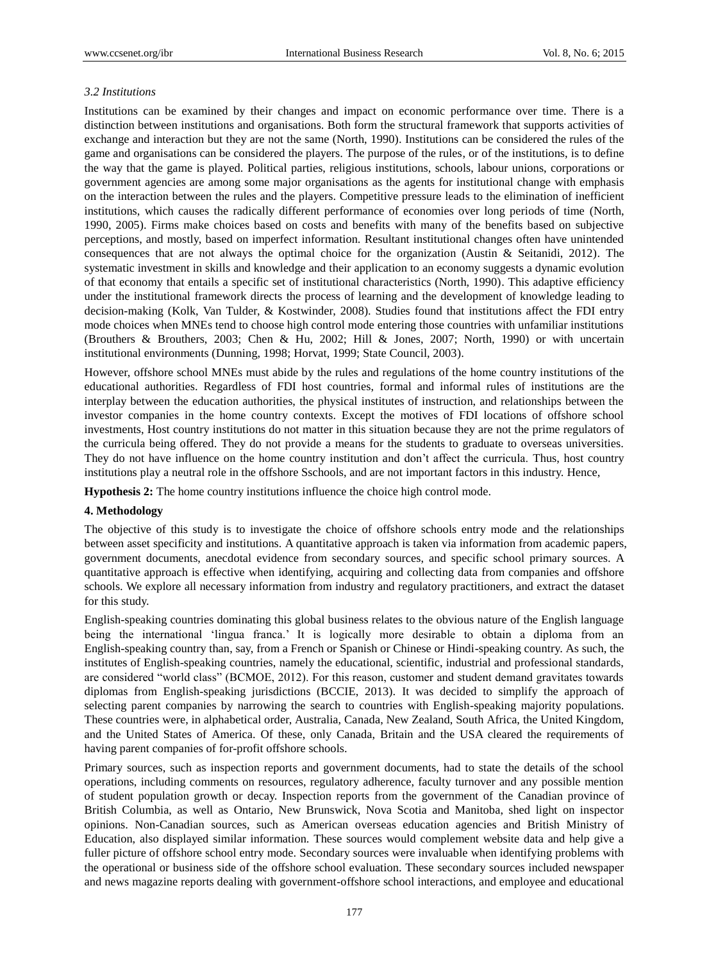## *3.2 Institutions*

Institutions can be examined by their changes and impact on economic performance over time. There is a distinction between institutions and organisations. Both form the structural framework that supports activities of exchange and interaction but they are not the same (North, 1990). Institutions can be considered the rules of the game and organisations can be considered the players. The purpose of the rules, or of the institutions, is to define the way that the game is played. Political parties, religious institutions, schools, labour unions, corporations or government agencies are among some major organisations as the agents for institutional change with emphasis on the interaction between the rules and the players. Competitive pressure leads to the elimination of inefficient institutions, which causes the radically different performance of economies over long periods of time (North, 1990, 2005). Firms make choices based on costs and benefits with many of the benefits based on subjective perceptions, and mostly, based on imperfect information. Resultant institutional changes often have unintended consequences that are not always the optimal choice for the organization (Austin & Seitanidi, 2012). The systematic investment in skills and knowledge and their application to an economy suggests a dynamic evolution of that economy that entails a specific set of institutional characteristics (North, 1990). This adaptive efficiency under the institutional framework directs the process of learning and the development of knowledge leading to decision-making (Kolk, Van Tulder, & Kostwinder, 2008). Studies found that institutions affect the FDI entry mode choices when MNEs tend to choose high control mode entering those countries with unfamiliar institutions (Brouthers & Brouthers, 2003; Chen & Hu, 2002; Hill & Jones, 2007; North, 1990) or with uncertain institutional environments (Dunning, 1998; Horvat, 1999; State Council, 2003).

However, offshore school MNEs must abide by the rules and regulations of the home country institutions of the educational authorities. Regardless of FDI host countries, formal and informal rules of institutions are the interplay between the education authorities, the physical institutes of instruction, and relationships between the investor companies in the home country contexts. Except the motives of FDI locations of offshore school investments, Host country institutions do not matter in this situation because they are not the prime regulators of the curricula being offered. They do not provide a means for the students to graduate to overseas universities. They do not have influence on the home country institution and don"t affect the curricula. Thus, host country institutions play a neutral role in the offshore Sschools, and are not important factors in this industry. Hence,

**Hypothesis 2:** The home country institutions influence the choice high control mode.

#### **4. Methodology**

The objective of this study is to investigate the choice of offshore schools entry mode and the relationships between asset specificity and institutions. A quantitative approach is taken via information from academic papers, government documents, anecdotal evidence from secondary sources, and specific school primary sources. A quantitative approach is effective when identifying, acquiring and collecting data from companies and offshore schools. We explore all necessary information from industry and regulatory practitioners, and extract the dataset for this study.

English-speaking countries dominating this global business relates to the obvious nature of the English language being the international 'lingua franca.' It is logically more desirable to obtain a diploma from an English-speaking country than, say, from a French or Spanish or Chinese or Hindi-speaking country. As such, the institutes of English-speaking countries, namely the educational, scientific, industrial and professional standards, are considered "world class" (BCMOE, 2012). For this reason, customer and student demand gravitates towards diplomas from English-speaking jurisdictions (BCCIE, 2013). It was decided to simplify the approach of selecting parent companies by narrowing the search to countries with English-speaking majority populations. These countries were, in alphabetical order, Australia, Canada, New Zealand, South Africa, the United Kingdom, and the United States of America. Of these, only Canada, Britain and the USA cleared the requirements of having parent companies of for-profit offshore schools.

Primary sources, such as inspection reports and government documents, had to state the details of the school operations, including comments on resources, regulatory adherence, faculty turnover and any possible mention of student population growth or decay. Inspection reports from the government of the Canadian province of British Columbia, as well as Ontario, New Brunswick, Nova Scotia and Manitoba, shed light on inspector opinions. Non-Canadian sources, such as American overseas education agencies and British Ministry of Education, also displayed similar information. These sources would complement website data and help give a fuller picture of offshore school entry mode. Secondary sources were invaluable when identifying problems with the operational or business side of the offshore school evaluation. These secondary sources included newspaper and news magazine reports dealing with government-offshore school interactions, and employee and educational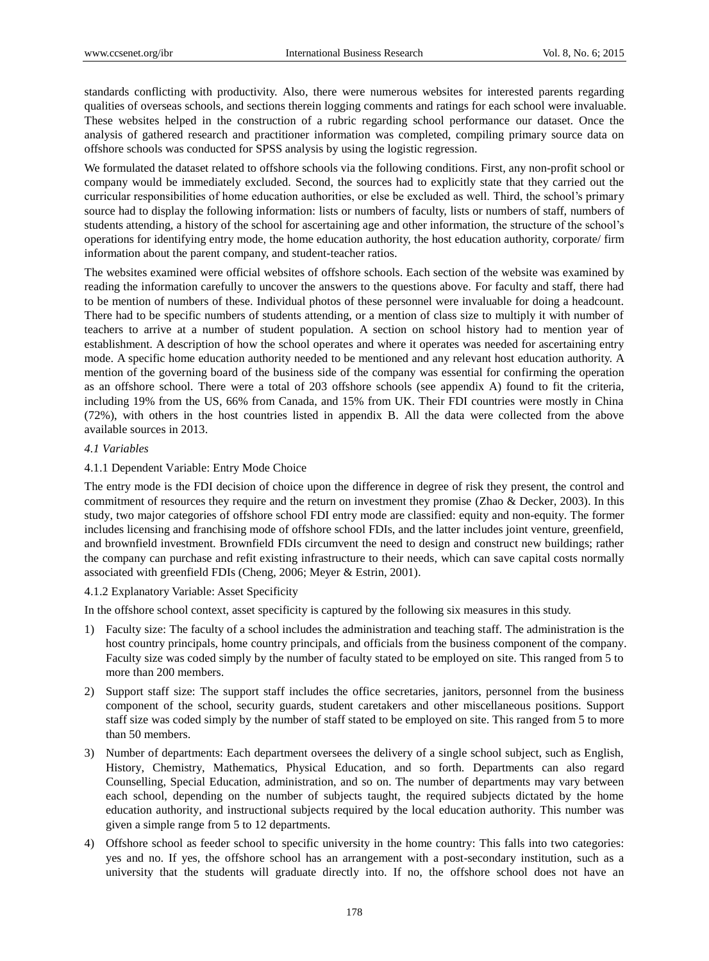standards conflicting with productivity. Also, there were numerous websites for interested parents regarding qualities of overseas schools, and sections therein logging comments and ratings for each school were invaluable. These websites helped in the construction of a rubric regarding school performance our dataset. Once the analysis of gathered research and practitioner information was completed, compiling primary source data on offshore schools was conducted for SPSS analysis by using the logistic regression.

We formulated the dataset related to offshore schools via the following conditions. First, any non-profit school or company would be immediately excluded. Second, the sources had to explicitly state that they carried out the curricular responsibilities of home education authorities, or else be excluded as well. Third, the school"s primary source had to display the following information: lists or numbers of faculty, lists or numbers of staff, numbers of students attending, a history of the school for ascertaining age and other information, the structure of the school"s operations for identifying entry mode, the home education authority, the host education authority, corporate/ firm information about the parent company, and student-teacher ratios.

The websites examined were official websites of offshore schools. Each section of the website was examined by reading the information carefully to uncover the answers to the questions above. For faculty and staff, there had to be mention of numbers of these. Individual photos of these personnel were invaluable for doing a headcount. There had to be specific numbers of students attending, or a mention of class size to multiply it with number of teachers to arrive at a number of student population. A section on school history had to mention year of establishment. A description of how the school operates and where it operates was needed for ascertaining entry mode. A specific home education authority needed to be mentioned and any relevant host education authority. A mention of the governing board of the business side of the company was essential for confirming the operation as an offshore school. There were a total of 203 offshore schools (see appendix A) found to fit the criteria, including 19% from the US, 66% from Canada, and 15% from UK. Their FDI countries were mostly in China (72%), with others in the host countries listed in appendix B. All the data were collected from the above available sources in 2013.

# *4.1 Variables*

#### 4.1.1 Dependent Variable: Entry Mode Choice

The entry mode is the FDI decision of choice upon the difference in degree of risk they present, the control and commitment of resources they require and the return on investment they promise (Zhao & Decker, 2003). In this study, two major categories of offshore school FDI entry mode are classified: equity and non-equity. The former includes licensing and franchising mode of offshore school FDIs, and the latter includes joint venture, greenfield, and brownfield investment. Brownfield FDIs circumvent the need to design and construct new buildings; rather the company can purchase and refit existing infrastructure to their needs, which can save capital costs normally associated with greenfield FDIs (Cheng, 2006; Meyer & Estrin, 2001).

#### 4.1.2 Explanatory Variable: Asset Specificity

In the offshore school context, asset specificity is captured by the following six measures in this study.

- 1) Faculty size: The faculty of a school includes the administration and teaching staff. The administration is the host country principals, home country principals, and officials from the business component of the company. Faculty size was coded simply by the number of faculty stated to be employed on site. This ranged from 5 to more than 200 members.
- 2) Support staff size: The support staff includes the office secretaries, janitors, personnel from the business component of the school, security guards, student caretakers and other miscellaneous positions. Support staff size was coded simply by the number of staff stated to be employed on site. This ranged from 5 to more than 50 members.
- 3) Number of departments: Each department oversees the delivery of a single school subject, such as English, History, Chemistry, Mathematics, Physical Education, and so forth. Departments can also regard Counselling, Special Education, administration, and so on. The number of departments may vary between each school, depending on the number of subjects taught, the required subjects dictated by the home education authority, and instructional subjects required by the local education authority. This number was given a simple range from 5 to 12 departments.
- 4) Offshore school as feeder school to specific university in the home country: This falls into two categories: yes and no. If yes, the offshore school has an arrangement with a post-secondary institution, such as a university that the students will graduate directly into. If no, the offshore school does not have an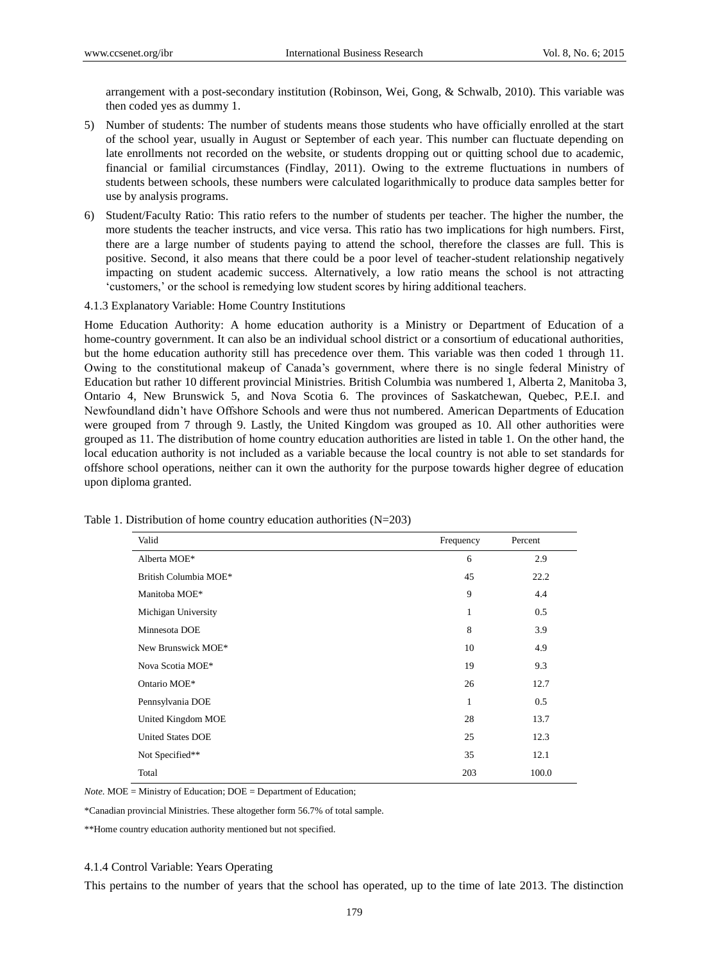arrangement with a post-secondary institution (Robinson, Wei, Gong, & Schwalb, 2010). This variable was then coded yes as dummy 1.

- 5) Number of students: The number of students means those students who have officially enrolled at the start of the school year, usually in August or September of each year. This number can fluctuate depending on late enrollments not recorded on the website, or students dropping out or quitting school due to academic, financial or familial circumstances (Findlay, 2011). Owing to the extreme fluctuations in numbers of students between schools, these numbers were calculated logarithmically to produce data samples better for use by analysis programs.
- 6) Student/Faculty Ratio: This ratio refers to the number of students per teacher. The higher the number, the more students the teacher instructs, and vice versa. This ratio has two implications for high numbers. First, there are a large number of students paying to attend the school, therefore the classes are full. This is positive. Second, it also means that there could be a poor level of teacher-student relationship negatively impacting on student academic success. Alternatively, a low ratio means the school is not attracting "customers," or the school is remedying low student scores by hiring additional teachers.
- 4.1.3 Explanatory Variable: Home Country Institutions

Home Education Authority: A home education authority is a Ministry or Department of Education of a home-country government. It can also be an individual school district or a consortium of educational authorities, but the home education authority still has precedence over them. This variable was then coded 1 through 11. Owing to the constitutional makeup of Canada"s government, where there is no single federal Ministry of Education but rather 10 different provincial Ministries. British Columbia was numbered 1, Alberta 2, Manitoba 3, Ontario 4, New Brunswick 5, and Nova Scotia 6. The provinces of Saskatchewan, Quebec, P.E.I. and Newfoundland didn"t have Offshore Schools and were thus not numbered. American Departments of Education were grouped from 7 through 9. Lastly, the United Kingdom was grouped as 10. All other authorities were grouped as 11. The distribution of home country education authorities are listed in table 1. On the other hand, the local education authority is not included as a variable because the local country is not able to set standards for offshore school operations, neither can it own the authority for the purpose towards higher degree of education upon diploma granted.

| Valid                    | Frequency | Percent |
|--------------------------|-----------|---------|
| Alberta MOE*             | 6         | 2.9     |
| British Columbia MOE*    | 45        | 22.2    |
| Manitoba MOE*            | 9         | 4.4     |
| Michigan University      | 1         | 0.5     |
| Minnesota DOE            | 8         | 3.9     |
| New Brunswick MOE*       | 10        | 4.9     |
| Nova Scotia MOE*         | 19        | 9.3     |
| Ontario MOE*             | 26        | 12.7    |
| Pennsylvania DOE         | 1         | 0.5     |
| United Kingdom MOE       | 28        | 13.7    |
| <b>United States DOE</b> | 25        | 12.3    |
| Not Specified**          | 35        | 12.1    |
| Total                    | 203       | 100.0   |

Table 1. Distribution of home country education authorities (N=203)

*Note.* MOE = Ministry of Education; DOE = Department of Education;

\*Canadian provincial Ministries. These altogether form 56.7% of total sample.

\*\*Home country education authority mentioned but not specified.

#### 4.1.4 Control Variable: Years Operating

This pertains to the number of years that the school has operated, up to the time of late 2013. The distinction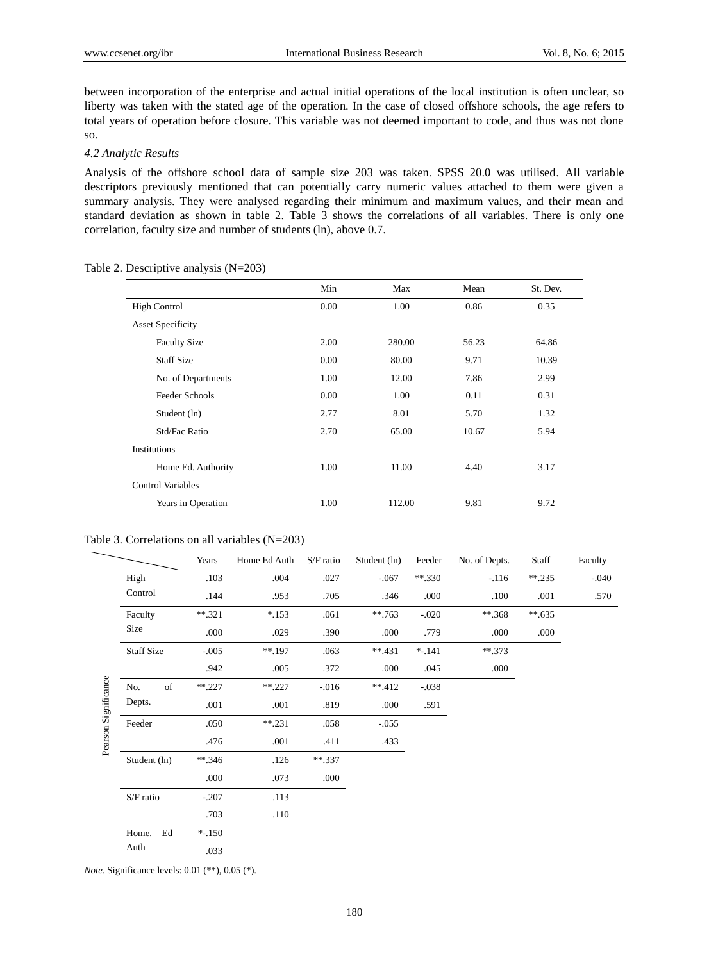between incorporation of the enterprise and actual initial operations of the local institution is often unclear, so liberty was taken with the stated age of the operation. In the case of closed offshore schools, the age refers to total years of operation before closure. This variable was not deemed important to code, and thus was not done so.

#### *4.2 Analytic Results*

Analysis of the offshore school data of sample size 203 was taken. SPSS 20.0 was utilised. All variable descriptors previously mentioned that can potentially carry numeric values attached to them were given a summary analysis. They were analysed regarding their minimum and maximum values, and their mean and standard deviation as shown in table 2. Table 3 shows the correlations of all variables. There is only one correlation, faculty size and number of students (ln), above 0.7.

|                          | Min  | Max    | Mean  | St. Dev. |
|--------------------------|------|--------|-------|----------|
| <b>High Control</b>      | 0.00 | 1.00   | 0.86  | 0.35     |
| <b>Asset Specificity</b> |      |        |       |          |
| <b>Faculty Size</b>      | 2.00 | 280.00 | 56.23 | 64.86    |
| <b>Staff Size</b>        | 0.00 | 80.00  | 9.71  | 10.39    |
| No. of Departments       | 1.00 | 12.00  | 7.86  | 2.99     |
| Feeder Schools           | 0.00 | 1.00   | 0.11  | 0.31     |
| Student (ln)             | 2.77 | 8.01   | 5.70  | 1.32     |
| Std/Fac Ratio            | 2.70 | 65.00  | 10.67 | 5.94     |
| Institutions             |      |        |       |          |
| Home Ed. Authority       | 1.00 | 11.00  | 4.40  | 3.17     |
| <b>Control Variables</b> |      |        |       |          |
| Years in Operation       | 1.00 | 112.00 | 9.81  | 9.72     |

Table 2. Descriptive analysis (N=203)

|  | Table 3. Correlations on all variables $(N=203)$ |  |  |  |
|--|--------------------------------------------------|--|--|--|
|--|--------------------------------------------------|--|--|--|

|                      |                   | Years     | Home Ed Auth | S/F ratio | Student (ln) | Feeder    | No. of Depts. | Staff     | Faculty |
|----------------------|-------------------|-----------|--------------|-----------|--------------|-----------|---------------|-----------|---------|
|                      | High              | .103      | .004         | .027      | $-.067$      | $***.330$ | $-116$        | $***.235$ | $-.040$ |
|                      | Control           | .144      | .953         | .705      | .346         | .000      | .100          | .001      | .570    |
|                      | Faculty           | $***.321$ | $*153$       | .061      | $***.763$    | $-.020$   | $***.368$     | $**635$   |         |
|                      | Size              | .000      | .029         | .390      | .000         | .779      | .000          | .000      |         |
|                      | <b>Staff Size</b> | $-.005$   | $***.197$    | .063      | $**431$      | $* - 141$ | $**.373$      |           |         |
|                      |                   | .942      | .005         | .372      | .000         | .045      | .000          |           |         |
|                      | of<br>No.         | $***.227$ | $***.227$    | $-0.016$  | $**412$      | $-.038$   |               |           |         |
| Pearson Significance | Depts.            | .001      | .001         | .819      | .000         | .591      |               |           |         |
|                      | Feeder            | .050      | $***.231$    | .058      | $-.055$      |           |               |           |         |
|                      |                   | .476      | .001         | .411      | .433         |           |               |           |         |
|                      | Student (ln)      | $***.346$ | .126         | $***.337$ |              |           |               |           |         |
|                      |                   | .000      | .073         | .000      |              |           |               |           |         |
|                      | S/F ratio         | $-.207$   | .113         |           |              |           |               |           |         |
|                      |                   | .703      | .110         |           |              |           |               |           |         |
|                      | Home.<br>Ed       | $* - 150$ |              |           |              |           |               |           |         |
|                      | Auth              | .033      |              |           |              |           |               |           |         |

*Note.* Significance levels: 0.01 (\*\*), 0.05 (\*).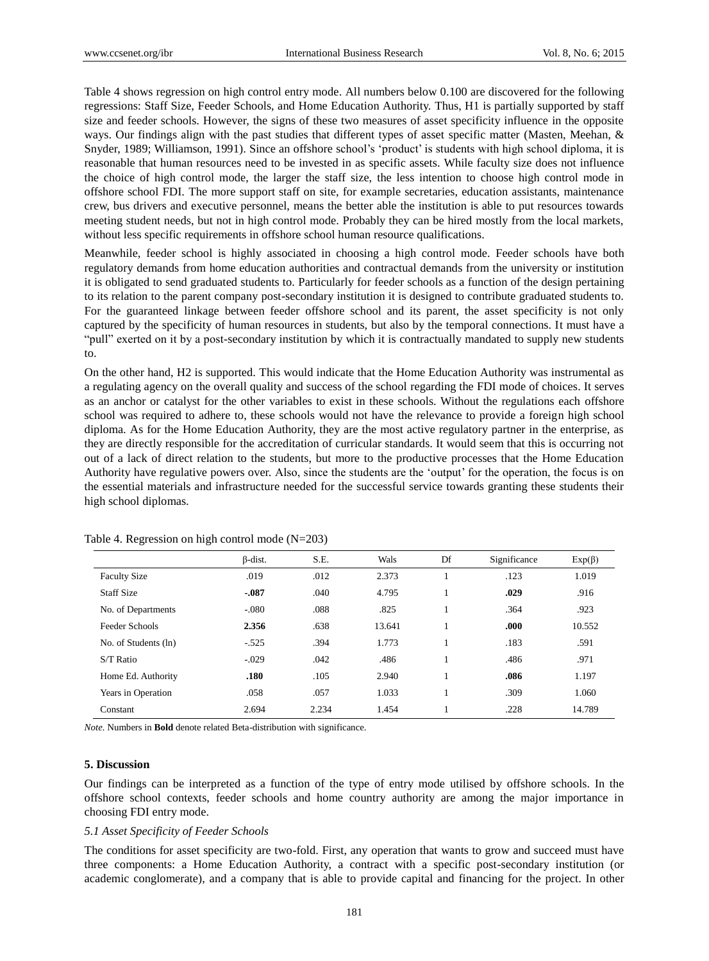Table 4 shows regression on high control entry mode. All numbers below 0.100 are discovered for the following regressions: Staff Size, Feeder Schools, and Home Education Authority. Thus, H1 is partially supported by staff size and feeder schools. However, the signs of these two measures of asset specificity influence in the opposite ways. Our findings align with the past studies that different types of asset specific matter (Masten, Meehan, & Snyder, 1989; Williamson, 1991). Since an offshore school's 'product' is students with high school diploma, it is reasonable that human resources need to be invested in as specific assets. While faculty size does not influence the choice of high control mode, the larger the staff size, the less intention to choose high control mode in offshore school FDI. The more support staff on site, for example secretaries, education assistants, maintenance crew, bus drivers and executive personnel, means the better able the institution is able to put resources towards meeting student needs, but not in high control mode. Probably they can be hired mostly from the local markets, without less specific requirements in offshore school human resource qualifications.

Meanwhile, feeder school is highly associated in choosing a high control mode. Feeder schools have both regulatory demands from home education authorities and contractual demands from the university or institution it is obligated to send graduated students to. Particularly for feeder schools as a function of the design pertaining to its relation to the parent company post-secondary institution it is designed to contribute graduated students to. For the guaranteed linkage between feeder offshore school and its parent, the asset specificity is not only captured by the specificity of human resources in students, but also by the temporal connections. It must have a "pull" exerted on it by a post-secondary institution by which it is contractually mandated to supply new students to.

On the other hand, H2 is supported. This would indicate that the Home Education Authority was instrumental as a regulating agency on the overall quality and success of the school regarding the FDI mode of choices. It serves as an anchor or catalyst for the other variables to exist in these schools. Without the regulations each offshore school was required to adhere to, these schools would not have the relevance to provide a foreign high school diploma. As for the Home Education Authority, they are the most active regulatory partner in the enterprise, as they are directly responsible for the accreditation of curricular standards. It would seem that this is occurring not out of a lack of direct relation to the students, but more to the productive processes that the Home Education Authority have regulative powers over. Also, since the students are the "output" for the operation, the focus is on the essential materials and infrastructure needed for the successful service towards granting these students their high school diplomas.

|                      | $\beta$ -dist. | S.E.  | Wals   | Df | Significance | $Exp(\beta)$ |
|----------------------|----------------|-------|--------|----|--------------|--------------|
| <b>Faculty Size</b>  | .019           | .012  | 2.373  |    | .123         | 1.019        |
| <b>Staff Size</b>    | $-0.87$        | .040  | 4.795  |    | .029         | .916         |
| No. of Departments   | $-.080$        | .088  | .825   |    | .364         | .923         |
| Feeder Schools       | 2.356          | .638  | 13.641 |    | .000         | 10.552       |
| No. of Students (ln) | $-.525$        | .394  | 1.773  |    | .183         | .591         |
| $S/T$ Ratio          | $-.029$        | .042  | .486   |    | .486         | .971         |
| Home Ed. Authority   | .180           | .105  | 2.940  |    | .086         | 1.197        |
| Years in Operation   | .058           | .057  | 1.033  |    | .309         | 1.060        |
| Constant             | 2.694          | 2.234 | 1.454  |    | .228         | 14.789       |

Table 4. Regression on high control mode (N=203)

*Note.* Numbers in **Bold** denote related Beta-distribution with significance.

#### **5. Discussion**

Our findings can be interpreted as a function of the type of entry mode utilised by offshore schools. In the offshore school contexts, feeder schools and home country authority are among the major importance in choosing FDI entry mode.

#### *5.1 Asset Specificity of Feeder Schools*

The conditions for asset specificity are two-fold. First, any operation that wants to grow and succeed must have three components: a Home Education Authority, a contract with a specific post-secondary institution (or academic conglomerate), and a company that is able to provide capital and financing for the project. In other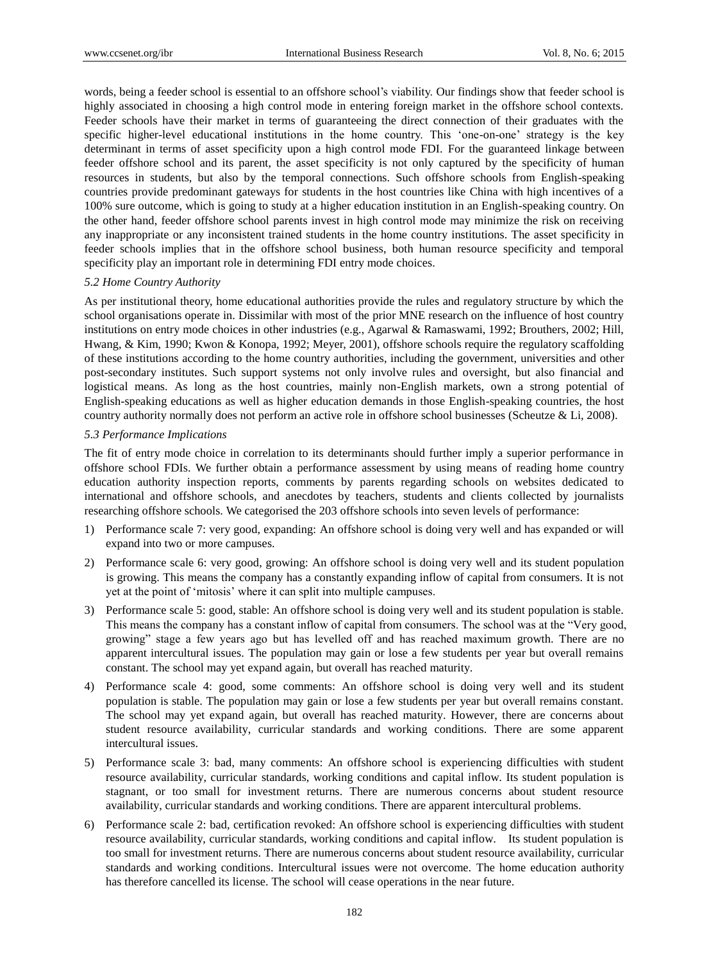words, being a feeder school is essential to an offshore school"s viability. Our findings show that feeder school is highly associated in choosing a high control mode in entering foreign market in the offshore school contexts. Feeder schools have their market in terms of guaranteeing the direct connection of their graduates with the specific higher-level educational institutions in the home country. This "one-on-one" strategy is the key determinant in terms of asset specificity upon a high control mode FDI. For the guaranteed linkage between feeder offshore school and its parent, the asset specificity is not only captured by the specificity of human resources in students, but also by the temporal connections. Such offshore schools from English-speaking countries provide predominant gateways for students in the host countries like China with high incentives of a 100% sure outcome, which is going to study at a higher education institution in an English-speaking country. On the other hand, feeder offshore school parents invest in high control mode may minimize the risk on receiving any inappropriate or any inconsistent trained students in the home country institutions. The asset specificity in feeder schools implies that in the offshore school business, both human resource specificity and temporal specificity play an important role in determining FDI entry mode choices.

## *5.2 Home Country Authority*

As per institutional theory, home educational authorities provide the rules and regulatory structure by which the school organisations operate in. Dissimilar with most of the prior MNE research on the influence of host country institutions on entry mode choices in other industries (e.g., Agarwal & Ramaswami, 1992; Brouthers, 2002; Hill, Hwang, & Kim, 1990; Kwon & Konopa, 1992; Meyer, 2001), offshore schools require the regulatory scaffolding of these institutions according to the home country authorities, including the government, universities and other post-secondary institutes. Such support systems not only involve rules and oversight, but also financial and logistical means. As long as the host countries, mainly non-English markets, own a strong potential of English-speaking educations as well as higher education demands in those English-speaking countries, the host country authority normally does not perform an active role in offshore school businesses (Scheutze & Li, 2008).

## *5.3 Performance Implications*

The fit of entry mode choice in correlation to its determinants should further imply a superior performance in offshore school FDIs. We further obtain a performance assessment by using means of reading home country education authority inspection reports, comments by parents regarding schools on websites dedicated to international and offshore schools, and anecdotes by teachers, students and clients collected by journalists researching offshore schools. We categorised the 203 offshore schools into seven levels of performance:

- 1) Performance scale 7: very good, expanding: An offshore school is doing very well and has expanded or will expand into two or more campuses.
- 2) Performance scale 6: very good, growing: An offshore school is doing very well and its student population is growing. This means the company has a constantly expanding inflow of capital from consumers. It is not yet at the point of "mitosis" where it can split into multiple campuses.
- 3) Performance scale 5: good, stable: An offshore school is doing very well and its student population is stable. This means the company has a constant inflow of capital from consumers. The school was at the "Very good, growing" stage a few years ago but has levelled off and has reached maximum growth. There are no apparent intercultural issues. The population may gain or lose a few students per year but overall remains constant. The school may yet expand again, but overall has reached maturity.
- 4) Performance scale 4: good, some comments: An offshore school is doing very well and its student population is stable. The population may gain or lose a few students per year but overall remains constant. The school may yet expand again, but overall has reached maturity. However, there are concerns about student resource availability, curricular standards and working conditions. There are some apparent intercultural issues.
- 5) Performance scale 3: bad, many comments: An offshore school is experiencing difficulties with student resource availability, curricular standards, working conditions and capital inflow. Its student population is stagnant, or too small for investment returns. There are numerous concerns about student resource availability, curricular standards and working conditions. There are apparent intercultural problems.
- 6) Performance scale 2: bad, certification revoked: An offshore school is experiencing difficulties with student resource availability, curricular standards, working conditions and capital inflow. Its student population is too small for investment returns. There are numerous concerns about student resource availability, curricular standards and working conditions. Intercultural issues were not overcome. The home education authority has therefore cancelled its license. The school will cease operations in the near future.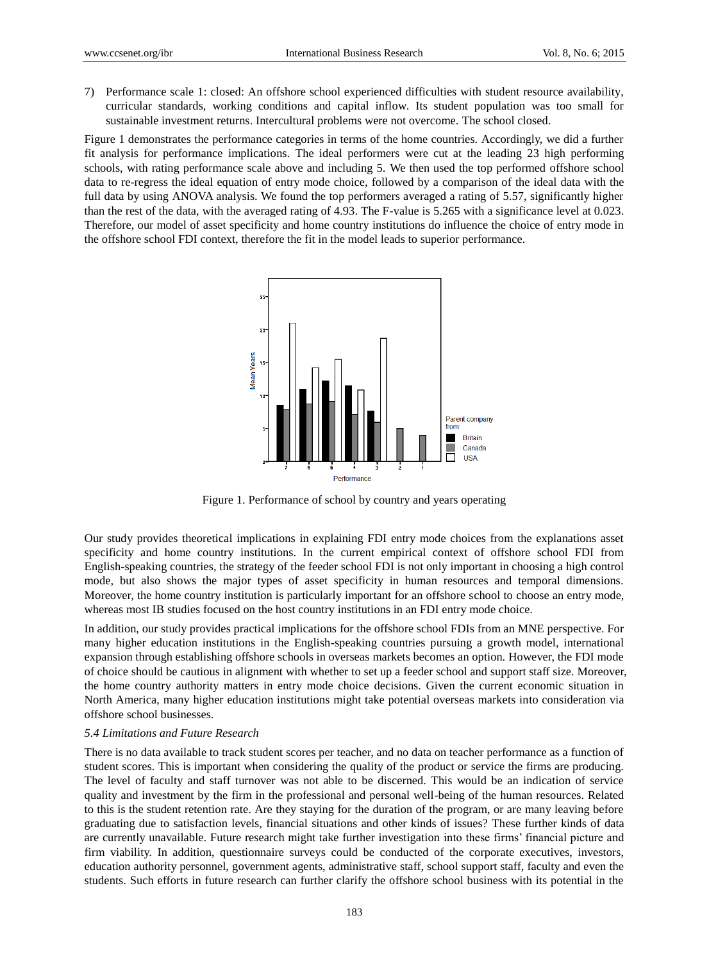7) Performance scale 1: closed: An offshore school experienced difficulties with student resource availability, curricular standards, working conditions and capital inflow. Its student population was too small for sustainable investment returns. Intercultural problems were not overcome. The school closed.

Figure 1 demonstrates the performance categories in terms of the home countries. Accordingly, we did a further fit analysis for performance implications. The ideal performers were cut at the leading 23 high performing schools, with rating performance scale above and including 5. We then used the top performed offshore school data to re-regress the ideal equation of entry mode choice, followed by a comparison of the ideal data with the full data by using ANOVA analysis. We found the top performers averaged a rating of 5.57, significantly higher than the rest of the data, with the averaged rating of 4.93. The F-value is 5.265 with a significance level at 0.023. Therefore, our model of asset specificity and home country institutions do influence the choice of entry mode in the offshore school FDI context, therefore the fit in the model leads to superior performance.



Figure 1. Performance of school by country and years operating

Our study provides theoretical implications in explaining FDI entry mode choices from the explanations asset specificity and home country institutions. In the current empirical context of offshore school FDI from English-speaking countries, the strategy of the feeder school FDI is not only important in choosing a high control mode, but also shows the major types of asset specificity in human resources and temporal dimensions. Moreover, the home country institution is particularly important for an offshore school to choose an entry mode, whereas most IB studies focused on the host country institutions in an FDI entry mode choice.

In addition, our study provides practical implications for the offshore school FDIs from an MNE perspective. For many higher education institutions in the English-speaking countries pursuing a growth model, international expansion through establishing offshore schools in overseas markets becomes an option. However, the FDI mode of choice should be cautious in alignment with whether to set up a feeder school and support staff size. Moreover, the home country authority matters in entry mode choice decisions. Given the current economic situation in North America, many higher education institutions might take potential overseas markets into consideration via offshore school businesses.

#### *5.4 Limitations and Future Research*

There is no data available to track student scores per teacher, and no data on teacher performance as a function of student scores. This is important when considering the quality of the product or service the firms are producing. The level of faculty and staff turnover was not able to be discerned. This would be an indication of service quality and investment by the firm in the professional and personal well-being of the human resources. Related to this is the student retention rate. Are they staying for the duration of the program, or are many leaving before graduating due to satisfaction levels, financial situations and other kinds of issues? These further kinds of data are currently unavailable. Future research might take further investigation into these firms" financial picture and firm viability. In addition, questionnaire surveys could be conducted of the corporate executives, investors, education authority personnel, government agents, administrative staff, school support staff, faculty and even the students. Such efforts in future research can further clarify the offshore school business with its potential in the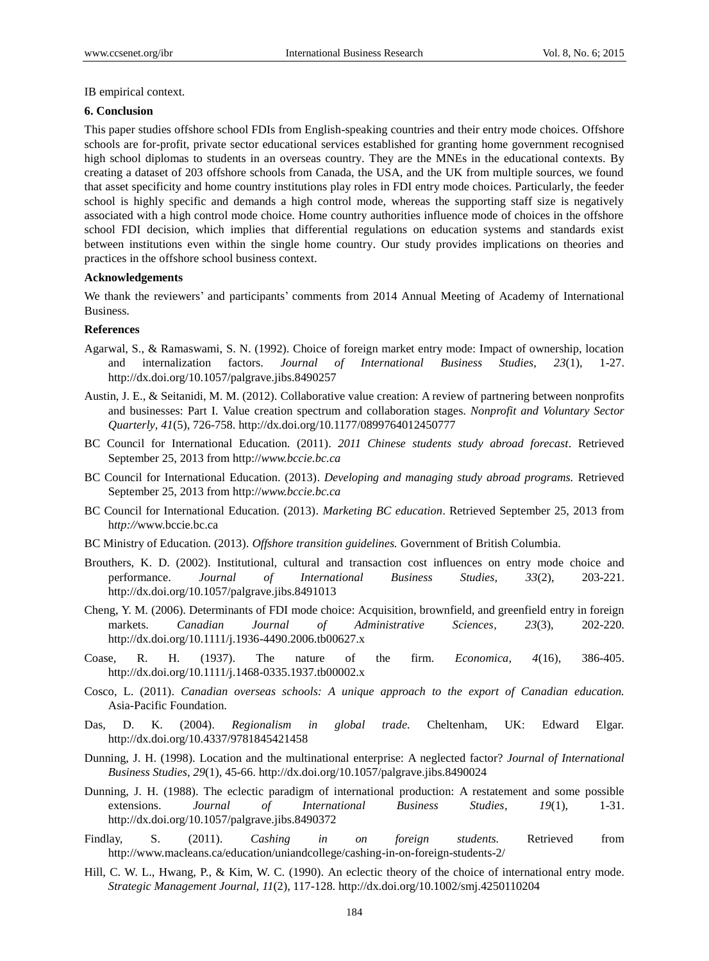IB empirical context.

#### **6. Conclusion**

This paper studies offshore school FDIs from English-speaking countries and their entry mode choices. Offshore schools are for-profit, private sector educational services established for granting home government recognised high school diplomas to students in an overseas country. They are the MNEs in the educational contexts. By creating a dataset of 203 offshore schools from Canada, the USA, and the UK from multiple sources, we found that asset specificity and home country institutions play roles in FDI entry mode choices. Particularly, the feeder school is highly specific and demands a high control mode, whereas the supporting staff size is negatively associated with a high control mode choice. Home country authorities influence mode of choices in the offshore school FDI decision, which implies that differential regulations on education systems and standards exist between institutions even within the single home country. Our study provides implications on theories and practices in the offshore school business context.

#### **Acknowledgements**

We thank the reviewers' and participants' comments from 2014 Annual Meeting of Academy of International Business.

## **References**

- Agarwal, S., & Ramaswami, S. N. (1992). Choice of foreign market entry mode: Impact of ownership, location and internalization factors. *Journal of International Business Studies, 23*(1), 1-27. http://dx.doi.org/10.1057/palgrave.jibs.8490257
- Austin, J. E., & Seitanidi, M. M. (2012). Collaborative value creation: A review of partnering between nonprofits and businesses: Part I. Value creation spectrum and collaboration stages. *Nonprofit and Voluntary Sector Quarterly, 41*(5), 726-758. http://dx.doi.org/10.1177/0899764012450777
- BC Council for International Education. (2011). *2011 Chinese students study abroad forecast*. Retrieved September 25, 2013 from http://*www.bccie.bc.ca*
- BC Council for International Education. (2013). *Developing and managing study abroad programs.* Retrieved September 25, 2013 from http://*www.bccie.bc.ca*
- BC Council for International Education. (2013). *Marketing BC education*. Retrieved September 25, 2013 from h*ttp://*www.bccie.bc.ca
- BC Ministry of Education. (2013). *Offshore transition guidelines.* Government of British Columbia.
- Brouthers, K. D. (2002). Institutional, cultural and transaction cost influences on entry mode choice and performance. *Journal of International Business Studies, 33*(2), 203-221. http://dx.doi.org/10.1057/palgrave.jibs.8491013
- Cheng, Y. M. (2006). Determinants of FDI mode choice: Acquisition, brownfield, and greenfield entry in foreign markets. *Canadian Journal of Administrative Sciences, 23*(3), 202-220. http://dx.doi.org/10.1111/j.1936-4490.2006.tb00627.x
- Coase, R. H. (1937). The nature of the firm. *Economica, 4*(16), 386-405. http://dx.doi.org/10.1111/j.1468-0335.1937.tb00002.x
- Cosco, L. (2011). *Canadian overseas schools: A unique approach to the export of Canadian education.* Asia-Pacific Foundation.
- Das, D. K. (2004). *Regionalism in global trade.* Cheltenham, UK: Edward Elgar. http://dx.doi.org/10.4337/9781845421458
- Dunning, J. H. (1998). Location and the multinational enterprise: A neglected factor? *Journal of International Business Studies, 29*(1), 45-66. http://dx.doi.org/10.1057/palgrave.jibs.8490024
- Dunning, J. H. (1988). The eclectic paradigm of international production: A restatement and some possible extensions. *Journal of International Business Studies, 19*(1), 1-31. http://dx.doi.org/10.1057/palgrave.jibs.8490372
- Findlay, S. (2011). *Cashing in on foreign students.* Retrieved from http://www.macleans.ca/education/uniandcollege/cashing-in-on-foreign-students-2/
- Hill, C. W. L., Hwang, P., & Kim, W. C. (1990). An eclectic theory of the choice of international entry mode. *Strategic Management Journal, 11*(2), 117-128. http://dx.doi.org/10.1002/smj.4250110204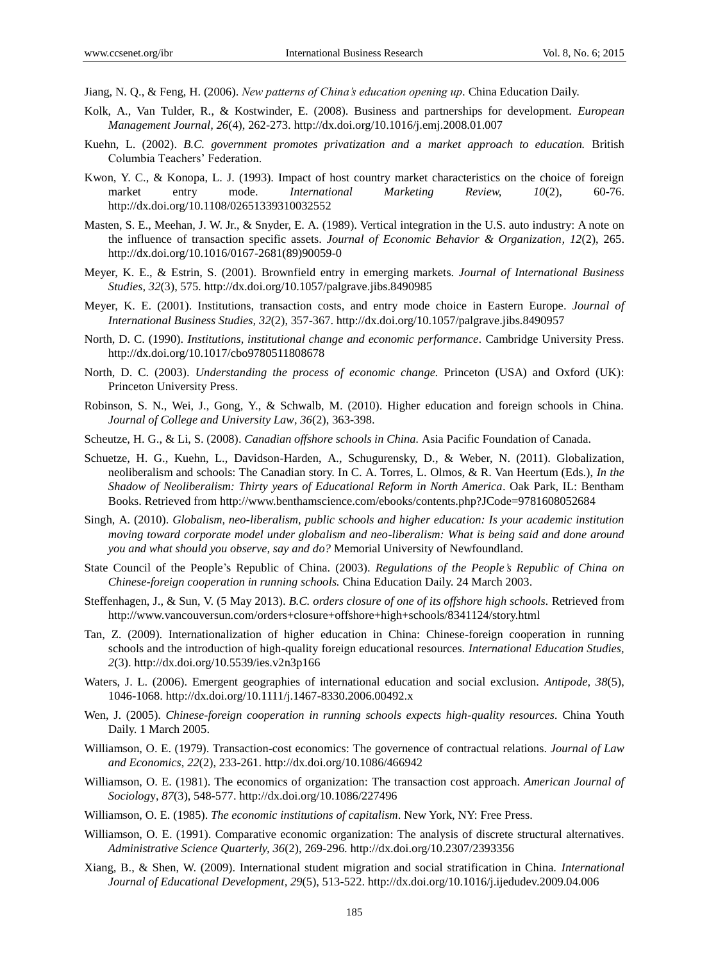Jiang, N. Q., & Feng, H. (2006). *New patterns of China's education opening up.* China Education Daily.

- Kolk, A., Van Tulder, R., & Kostwinder, E. (2008). Business and partnerships for development. *European Management Journal, 26*(4), 262-273. http://dx.doi.org/10.1016/j.emj.2008.01.007
- Kuehn, L. (2002). *B.C. government promotes privatization and a market approach to education.* British Columbia Teachers" Federation.
- Kwon, Y. C., & Konopa, L. J. (1993). Impact of host country market characteristics on the choice of foreign market entry mode. *International Marketing Review, 10*(2), 60-76. http://dx.doi.org/10.1108/02651339310032552
- Masten, S. E., Meehan, J. W. Jr., & Snyder, E. A. (1989). Vertical integration in the U.S. auto industry: A note on the influence of transaction specific assets. *Journal of Economic Behavior & Organization, 12*(2), 265. http://dx.doi.org/10.1016/0167-2681(89)90059-0
- Meyer, K. E., & Estrin, S. (2001). Brownfield entry in emerging markets. *Journal of International Business Studies, 32*(3), 575. http://dx.doi.org/10.1057/palgrave.jibs.8490985
- Meyer, K. E. (2001). Institutions, transaction costs, and entry mode choice in Eastern Europe. *Journal of International Business Studies, 32*(2), 357-367. http://dx.doi.org/10.1057/palgrave.jibs.8490957
- North, D. C. (1990). *Institutions, institutional change and economic performance.* Cambridge University Press. http://dx.doi.org/10.1017/cbo9780511808678
- North, D. C. (2003). *Understanding the process of economic change.* Princeton (USA) and Oxford (UK): Princeton University Press.
- Robinson, S. N., Wei, J., Gong, Y., & Schwalb, M. (2010). Higher education and foreign schools in China. *Journal of College and University Law, 36*(2), 363-398.
- Scheutze, H. G., & Li, S. (2008). *Canadian offshore schools in China.* Asia Pacific Foundation of Canada.
- Schuetze, H. G., Kuehn, L., Davidson-Harden, A., Schugurensky, D., & Weber, N. (2011). Globalization, neoliberalism and schools: The Canadian story. In C. A. Torres, L. Olmos, & R. Van Heertum (Eds.), *In the Shadow of Neoliberalism: Thirty years of Educational Reform in North America*. Oak Park, IL: Bentham Books. Retrieved from http://www.benthamscience.com/ebooks/contents.php?JCode=9781608052684
- Singh, A. (2010). *Globalism, neo-liberalism, public schools and higher education: Is your academic institution moving toward corporate model under globalism and neo-liberalism: What is being said and done around you and what should you observe, say and do?* Memorial University of Newfoundland.
- State Council of the People"s Republic of China. (2003). *Regulations of the People's Republic of China on Chinese-foreign cooperation in running schools.* China Education Daily. 24 March 2003.
- Steffenhagen, J., & Sun, V. (5 May 2013). *B.C. orders closure of one of its offshore high schools.* Retrieved from http://www.vancouversun.com/orders+closure+offshore+high+schools/8341124/story.html
- Tan, Z. (2009). Internationalization of higher education in China: Chinese-foreign cooperation in running schools and the introduction of high-quality foreign educational resources. *International Education Studies, 2*(3). http://dx.doi.org/10.5539/ies.v2n3p166
- Waters, J. L. (2006). Emergent geographies of international education and social exclusion. *Antipode, 38*(5), 1046-1068. http://dx.doi.org/10.1111/j.1467-8330.2006.00492.x
- Wen, J. (2005). *Chinese-foreign cooperation in running schools expects high-quality resources.* China Youth Daily. 1 March 2005.
- Williamson, O. E. (1979). Transaction-cost economics: The governence of contractual relations. *Journal of Law and Economics*, *22*(2), 233-261. http://dx.doi.org/10.1086/466942
- Williamson, O. E. (1981). The economics of organization: The transaction cost approach. *American Journal of Sociolog*y, *87*(3), 548-577. http://dx.doi.org/10.1086/227496
- Williamson, O. E. (1985). *The economic institutions of capitalism*. New York, NY: Free Press.
- Williamson, O. E. (1991). Comparative economic organization: The analysis of discrete structural alternatives. *Administrative Science Quarterly, 36*(2), 269-296. http://dx.doi.org/10.2307/2393356
- Xiang, B., & Shen, W. (2009). International student migration and social stratification in China. *International Journal of Educational Development, 29*(5), 513-522. http://dx.doi.org/10.1016/j.ijedudev.2009.04.006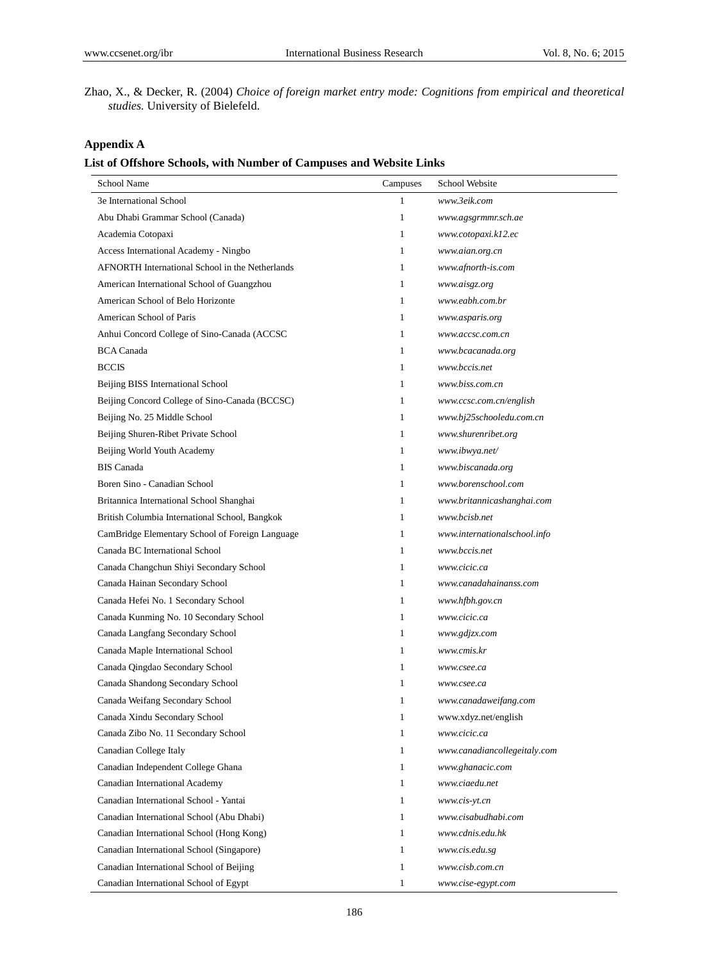Zhao, X., & Decker, R. (2004) *Choice of foreign market entry mode: Cognitions from empirical and theoretical studies.* University of Bielefeld.

# **Appendix A**

# **List of Offshore Schools, with Number of Campuses and Website Links**

| School Name                                     | Campuses     | School Website               |
|-------------------------------------------------|--------------|------------------------------|
| 3e International School                         | 1            | www.3eik.com                 |
| Abu Dhabi Grammar School (Canada)               | 1            | www.agsgrmmr.sch.ae          |
| Academia Cotopaxi                               | 1            | www.cotopaxi.k12.ec          |
| Access International Academy - Ningbo           | 1            | www.aian.org.cn              |
| AFNORTH International School in the Netherlands | $\mathbf{1}$ | www.afnorth-is.com           |
| American International School of Guangzhou      | 1            | www.aisgz.org                |
| American School of Belo Horizonte               | 1            | www.eabh.com.br              |
| American School of Paris                        | 1            | www.asparis.org              |
| Anhui Concord College of Sino-Canada (ACCSC     | 1            | www.accsc.com.cn             |
| <b>BCA</b> Canada                               | 1            | www.bcacanada.org            |
| <b>BCCIS</b>                                    | 1            | www.bccis.net                |
| Beijing BISS International School               | 1            | www.biss.com.cn              |
| Beijing Concord College of Sino-Canada (BCCSC)  | 1            | www.ccsc.com.cn/english      |
| Beijing No. 25 Middle School                    | $\mathbf{1}$ | www.bj25schooledu.com.cn     |
| Beijing Shuren-Ribet Private School             | 1            | www.shurenribet.org          |
| Beijing World Youth Academy                     | 1            | www.ibwya.net/               |
| <b>BIS</b> Canada                               | 1            | www.biscanada.org            |
| Boren Sino - Canadian School                    | 1            | www.borenschool.com          |
| Britannica International School Shanghai        | 1            | www.britannicashanghai.com   |
| British Columbia International School, Bangkok  | 1            | www.bcish.net                |
| CamBridge Elementary School of Foreign Language | 1            | www.internationalschool.info |
| Canada BC International School                  | 1            | www.bccis.net                |
| Canada Changchun Shiyi Secondary School         | 1            | www.cicic.ca                 |
| Canada Hainan Secondary School                  | 1            | www.canadahainanss.com       |
| Canada Hefei No. 1 Secondary School             | 1            | www.hfbh.gov.cn              |
| Canada Kunming No. 10 Secondary School          | 1            | www.cicic.ca                 |
| Canada Langfang Secondary School                | 1            | www.gdjzx.com                |
| Canada Maple International School               | 1            | www.cmis.kr                  |
| Canada Qingdao Secondary School                 | 1            | www.csee.ca                  |
| Canada Shandong Secondary School                | 1            | www.csee.ca                  |
| Canada Weifang Secondary School                 | 1            | www.canadaweifang.com        |
| Canada Xindu Secondary School                   | $\mathbf{1}$ | www.xdyz.net/english         |
| Canada Zibo No. 11 Secondary School             | $\mathbf{1}$ | www.cicic.ca                 |
| Canadian College Italy                          | $\mathbf{1}$ | www.canadiancollegeitaly.com |
| Canadian Independent College Ghana              | $\mathbf{1}$ | www.ghanacic.com             |
| Canadian International Academy                  | $\mathbf{1}$ | www.ciaedu.net               |
| Canadian International School - Yantai          | $\mathbf{1}$ | www.cis-yt.cn                |
| Canadian International School (Abu Dhabi)       | $\mathbf{1}$ | www.cisabudhabi.com          |
| Canadian International School (Hong Kong)       | $\mathbf{1}$ | www.cdnis.edu.hk             |
| Canadian International School (Singapore)       | $\mathbf{1}$ | www.cis.edu.sg               |
| Canadian International School of Beijing        | $\mathbf{1}$ | www.cisb.com.cn              |
| Canadian International School of Egypt          | $\mathbf{1}$ | www.cise-egypt.com           |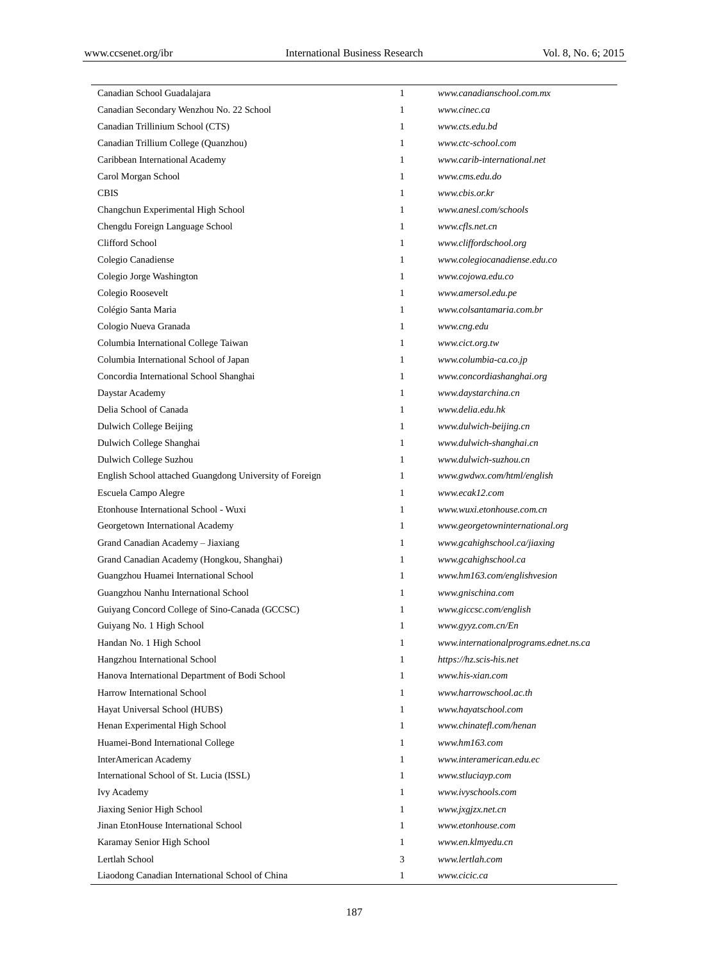| Canadian School Guadalajara                             | 1            | www.canadianschool.com.mx             |
|---------------------------------------------------------|--------------|---------------------------------------|
| Canadian Secondary Wenzhou No. 22 School                | 1            | www.cinec.ca                          |
| Canadian Trillinium School (CTS)                        | 1            | www.cts.edu.bd                        |
| Canadian Trillium College (Quanzhou)                    | 1            | www.ctc-school.com                    |
| Caribbean International Academy                         | 1            | www.carib-international.net           |
| Carol Morgan School                                     | 1            | www.cms.edu.do                        |
| <b>CBIS</b>                                             | 1            | www.cbis.or.kr                        |
| Changchun Experimental High School                      | 1            | www.anesl.com/schools                 |
| Chengdu Foreign Language School                         | 1            | www.cfls.net.cn                       |
| Clifford School                                         | 1            | www.cliffordschool.org                |
| Colegio Canadiense                                      | 1            | www.colegiocanadiense.edu.co          |
| Colegio Jorge Washington                                | 1            | www.cojowa.edu.co                     |
| Colegio Roosevelt                                       | 1            | www.amersol.edu.pe                    |
| Col égio Santa Maria                                    | 1            | www.colsantamaria.com.br              |
| Cologio Nueva Granada                                   | 1            | www.cng.edu                           |
| Columbia International College Taiwan                   | 1            | www.cict.org.tw                       |
| Columbia International School of Japan                  | 1            | www.columbia-ca.co.jp                 |
| Concordia International School Shanghai                 | 1            | www.concordiashanghai.org             |
| Daystar Academy                                         | 1            | www.daystarchina.cn                   |
| Delia School of Canada                                  | 1            | www.delia.edu.hk                      |
| Dulwich College Beijing                                 | 1            | www.dulwich-beijing.cn                |
| Dulwich College Shanghai                                | 1            | www.dulwich-shanghai.cn               |
| Dulwich College Suzhou                                  | 1            | www.dulwich-suzhou.cn                 |
| English School attached Guangdong University of Foreign | 1            | www.gwdwx.com/html/english            |
| Escuela Campo Alegre                                    | 1            | www.ecak12.com                        |
| Etonhouse International School - Wuxi                   | 1            | www.wuxi.etonhouse.com.cn             |
| Georgetown International Academy                        | 1            | www.georgetowninternational.org       |
| Grand Canadian Academy - Jiaxiang                       | 1            | www.gcahighschool.ca/jiaxing          |
| Grand Canadian Academy (Hongkou, Shanghai)              | 1            | www.gcahighschool.ca                  |
| Guangzhou Huamei International School                   | 1            | www.hm163.com/englishvesion           |
| Guangzhou Nanhu International School                    | 1            | www.gnischina.com                     |
| Guiyang Concord College of Sino-Canada (GCCSC)          | 1            | www.giccsc.com/english                |
| Guiyang No. 1 High School                               | $\mathbf{1}$ | www.gyyz.com.cn/En                    |
| Handan No. 1 High School                                | 1            | www.internationalprograms.ednet.ns.ca |
| Hangzhou International School                           | 1            | https://hz.scis-his.net               |
| Hanova International Department of Bodi School          | 1            | www.his-xian.com                      |
| Harrow International School                             | 1            | www.harrowschool.ac.th                |
| Hayat Universal School (HUBS)                           | 1            | www.hayatschool.com                   |
| Henan Experimental High School                          | 1            | www.chinatefl.com/henan               |
| Huamei-Bond International College                       | 1            | www.hm163.com                         |
| <b>InterAmerican Academy</b>                            | 1            | www.interamerican.edu.ec              |
| International School of St. Lucia (ISSL)                | 1            | www.stluciayp.com                     |
| <b>Ivy Academy</b>                                      | 1            | www.ivyschools.com                    |
| Jiaxing Senior High School                              | 1            | www.jxgjzx.net.cn                     |
| Jinan EtonHouse International School                    | 1            | www.etonhouse.com                     |
| Karamay Senior High School                              | $\mathbf{1}$ | www.en.klmyedu.cn                     |
| Lertlah School                                          | 3            | www.lertlah.com                       |
|                                                         |              |                                       |
| Liaodong Canadian International School of China         | $\mathbf{1}$ | www.cicic.ca                          |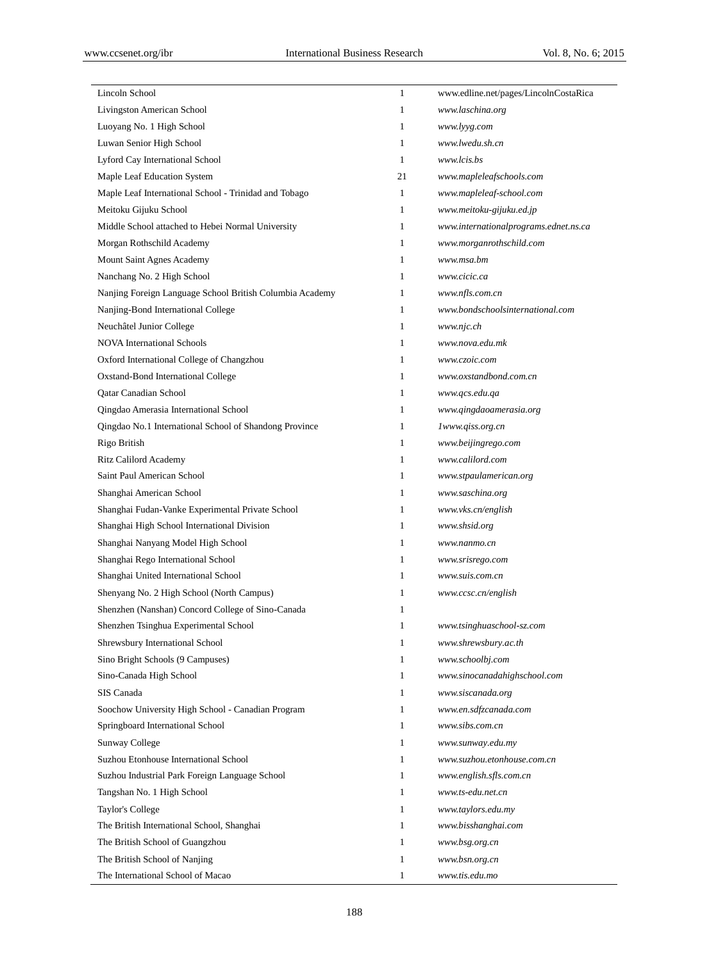| Lincoln School                                           | $\mathbf{1}$ | www.edline.net/pages/LincolnCostaRica |
|----------------------------------------------------------|--------------|---------------------------------------|
| Livingston American School                               | $\mathbf{1}$ | www.laschina.org                      |
| Luoyang No. 1 High School                                | $\mathbf{1}$ | www.lyyg.com                          |
| Luwan Senior High School                                 | $\mathbf{1}$ | www.lwedu.sh.cn                       |
| Lyford Cay International School                          | 1            | www.lcis.bs                           |
| Maple Leaf Education System                              | 21           | www.mapleleafschools.com              |
| Maple Leaf International School - Trinidad and Tobago    | 1            | www.mapleleaf-school.com              |
| Meitoku Gijuku School                                    | $\mathbf{1}$ | www.meitoku-gijuku.ed.jp              |
| Middle School attached to Hebei Normal University        | 1            | www.internationalprograms.ednet.ns.ca |
| Morgan Rothschild Academy                                | $\mathbf{1}$ | www.morganrothschild.com              |
| Mount Saint Agnes Academy                                | $\mathbf{1}$ | www.msa.bm                            |
| Nanchang No. 2 High School                               | 1            | www.cicic.ca                          |
| Nanjing Foreign Language School British Columbia Academy | 1            | www.nfls.com.cn                       |
| Nanjing-Bond International College                       | $\mathbf{1}$ | www.bondschoolsinternational.com      |
| Neuch âel Junior College                                 | $\mathbf{1}$ | www.njc.ch                            |
| <b>NOVA</b> International Schools                        | $\mathbf{1}$ | www.nova.edu.mk                       |
| Oxford International College of Changzhou                | $\mathbf{1}$ | www.czoic.com                         |
| Oxstand-Bond International College                       | $\mathbf{1}$ | www.oxstandbond.com.cn                |
| Qatar Canadian School                                    | $\mathbf{1}$ | www.qcs.edu.qa                        |
| Qingdao Amerasia International School                    | $\mathbf{1}$ | www.qingdaoamerasia.org               |
| Qingdao No.1 International School of Shandong Province   | $\mathbf{1}$ | lwww.qiss.org.cn                      |
| Rigo British                                             | $\mathbf{1}$ | www.beijingrego.com                   |
| <b>Ritz Calilord Academy</b>                             | $\mathbf{1}$ | www.calilord.com                      |
| Saint Paul American School                               | $\mathbf{1}$ | www.stpaulamerican.org                |
| Shanghai American School                                 | $\mathbf{1}$ | www.saschina.org                      |
| Shanghai Fudan-Vanke Experimental Private School         | 1            | www.vks.cn/english                    |
| Shanghai High School International Division              | $\mathbf{1}$ | www.shsid.org                         |
| Shanghai Nanyang Model High School                       | 1            | www.nanmo.cn                          |
| Shanghai Rego International School                       | 1            | www.srisrego.com                      |
| Shanghai United International School                     | 1            | www.suis.com.cn                       |
| Shenyang No. 2 High School (North Campus)                | 1            | www.ccsc.cn/english                   |
| Shenzhen (Nanshan) Concord College of Sino-Canada        | 1            |                                       |
| Shenzhen Tsinghua Experimental School                    | $\mathbf{1}$ | www.tsinghuaschool-sz.com             |
| Shrewsbury International School                          | $\mathbf{1}$ | www.shrewsbury.ac.th                  |
| Sino Bright Schools (9 Campuses)                         | $\mathbf{1}$ | www.schoolbj.com                      |
| Sino-Canada High School                                  | $\mathbf{1}$ | www.sinocanadahighschool.com          |
| SIS Canada                                               | $\mathbf{1}$ | www.siscanada.org                     |
| Soochow University High School - Canadian Program        | 1            | www.en.sdfzcanada.com                 |
| Springboard International School                         | $\mathbf{1}$ | www.sibs.com.cn                       |
| Sunway College                                           | $\mathbf{1}$ | www.sunway.edu.my                     |
| Suzhou Etonhouse International School                    | $\mathbf{1}$ | www.suzhou.etonhouse.com.cn           |
| Suzhou Industrial Park Foreign Language School           | $\mathbf{1}$ | www.english.sfls.com.cn               |
| Tangshan No. 1 High School                               | $\mathbf{1}$ | www.ts-edu.net.cn                     |
| Taylor's College                                         | 1            | www.taylors.edu.my                    |
| The British International School, Shanghai               | $\mathbf{1}$ | www.bisshanghai.com                   |
| The British School of Guangzhou                          | $\mathbf{1}$ | www.bsg.org.cn                        |
| The British School of Nanjing                            | $\mathbf{1}$ | www.bsn.org.cn                        |
| The International School of Macao                        | $\mathbf{1}$ | www.tis.edu.mo                        |
|                                                          |              |                                       |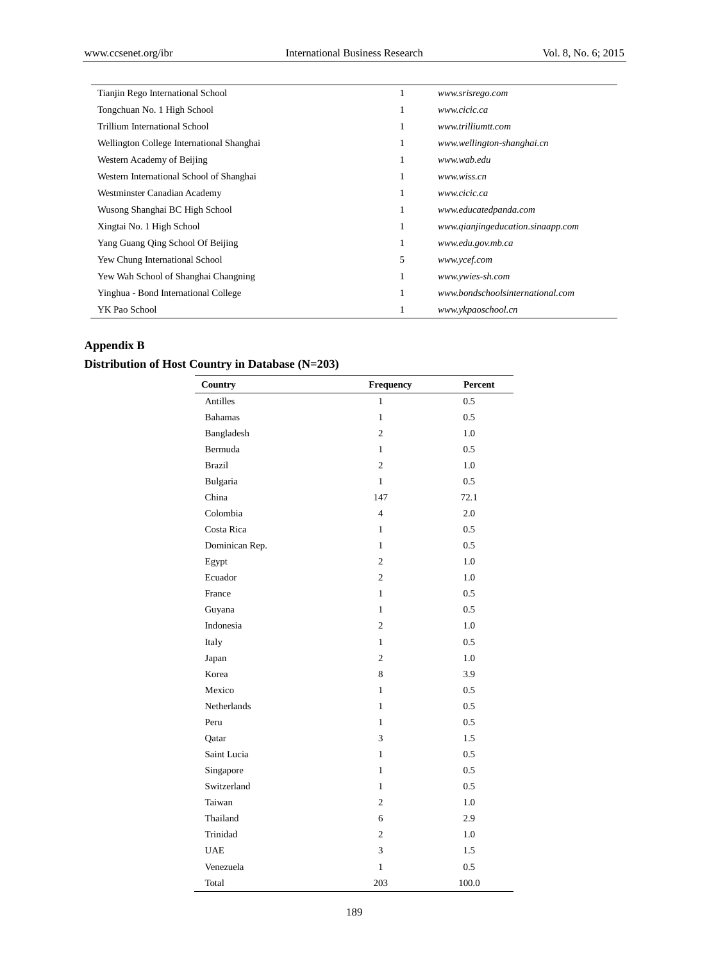| Tianjin Rego International School         | л. | www.srisrego.com                  |
|-------------------------------------------|----|-----------------------------------|
| Tongchuan No. 1 High School               | 1  | www.cicic.ca                      |
| Trillium International School             | 1  | www.trilliumtt.com                |
| Wellington College International Shanghai | 1  | www.wellington-shanghai.cn        |
| Western Academy of Beijing                | 1  | www.wab.edu                       |
| Western International School of Shanghai  | 1  | www.wiss.cn                       |
| Westminster Canadian Academy              | 1  | www.cicic.ca                      |
| Wusong Shanghai BC High School            | 1  | www.educatedpanda.com             |
| Xingtai No. 1 High School                 | 1  | www.qianjingeducation.sinaapp.com |
| Yang Guang Qing School Of Beijing         | 1  | www.edu.gov.mb.ca                 |
| Yew Chung International School            | 5  | www.ycef.com                      |
| Yew Wah School of Shanghai Changning      | 1  | www.ywies-sh.com                  |
| Yinghua - Bond International College      | 1  | www.bondschoolsinternational.com  |
| YK Pao School                             |    | www.ykpaoschool.cn                |

# **Appendix B**

# **Distribution of Host Country in Database (N=203)**

| Country        | Frequency      | Percent |
|----------------|----------------|---------|
| Antilles       | $\mathbf{1}$   | 0.5     |
| <b>Bahamas</b> | $\mathbf{1}$   | 0.5     |
| Bangladesh     | $\overline{c}$ | 1.0     |
| Bermuda        | $\mathbf{1}$   | 0.5     |
| <b>Brazil</b>  | $\overline{2}$ | 1.0     |
| Bulgaria       | $\mathbf{1}$   | 0.5     |
| China          | 147            | 72.1    |
| Colombia       | $\overline{4}$ | 2.0     |
| Costa Rica     | $\mathbf{1}$   | 0.5     |
| Dominican Rep. | 1              | 0.5     |
| Egypt          | $\mathfrak{2}$ | 1.0     |
| Ecuador        | $\overline{c}$ | 1.0     |
| France         | $\mathbf{1}$   | 0.5     |
| Guyana         | $\mathbf{1}$   | 0.5     |
| Indonesia      | $\overline{c}$ | 1.0     |
| Italy          | 1              | 0.5     |
| Japan          | $\overline{c}$ | 1.0     |
| Korea          | 8              | 3.9     |
| Mexico         | 1              | 0.5     |
| Netherlands    | $\mathbf{1}$   | 0.5     |
| Peru           | $\mathbf{1}$   | 0.5     |
| Qatar          | 3              | 1.5     |
| Saint Lucia    | $\mathbf{1}$   | 0.5     |
| Singapore      | 1              | 0.5     |
| Switzerland    | $\mathbf{1}$   | 0.5     |
| Taiwan         | $\mathfrak{2}$ | 1.0     |
| Thailand       | 6              | 2.9     |
| Trinidad       | $\mathfrak{2}$ | 1.0     |
| <b>UAE</b>     | 3              | 1.5     |
| Venezuela      | $\mathbf{1}$   | 0.5     |
| Total          | 203            | 100.0   |